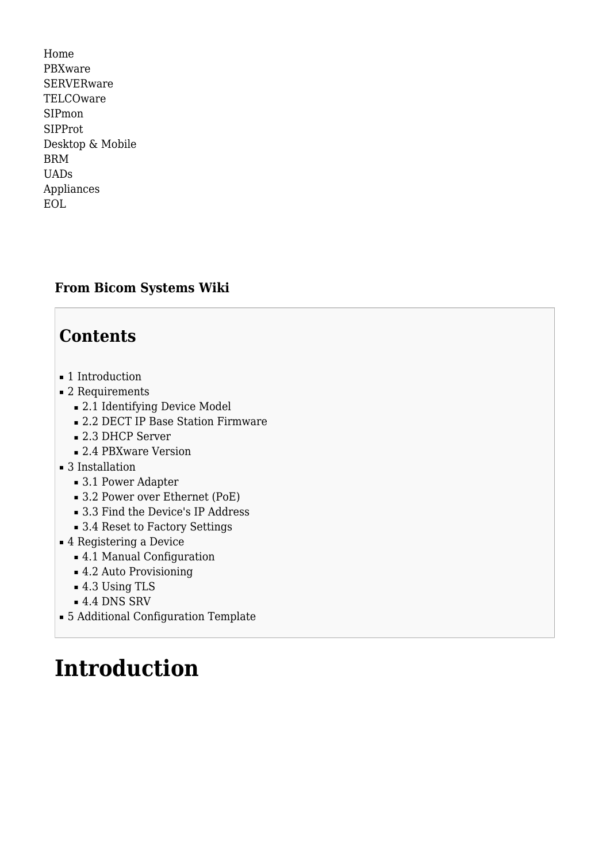[Home](http://wiki.bicomsystems.com/Main_Page) [PBXware](http://wiki.bicomsystems.com/PBXware) **[SERVERware](http://wiki.bicomsystems.com/SERVERware) [TELCOware](http://wiki.bicomsystems.com/TELCOware)** [SIPmon](http://wiki.bicomsystems.com/SIPmon) [SIPProt](http://wiki.bicomsystems.com/SIPProt) [Desktop & Mobile](http://wiki.bicomsystems.com/Desktop_and_Mobile) [BRM](http://wiki.bicomsystems.com/BRM) [UADs](http://wiki.bicomsystems.com/UADs) [Appliances](http://wiki.bicomsystems.com/Appliances) [EOL](http://wiki.bicomsystems.com/EOL)

### **From Bicom Systems Wiki**

# **Contents**

- [1](#page--1-0) [Introduction](#page--1-0)
- [2](#page--1-0) [Requirements](#page--1-0)
	- [2.1](#page--1-0) [Identifying Device Model](#page--1-0)
	- [2.2](#page--1-0) [DECT IP Base Station Firmware](#page--1-0)
	- [2.3](#page--1-0) [DHCP Server](#page--1-0)
	- [2.4](#page--1-0) [PBXware Version](#page--1-0)
- [3](#page--1-0) [Installation](#page--1-0)
	- [3.1](#page--1-0) [Power Adapter](#page--1-0)
	- [3.2](#Power_over_Ethernet_.28PoE.29) [Power over Ethernet \(PoE\)](#Power_over_Ethernet_.28PoE.29)
	- [3.3](#Find_the_Device.27s_IP_Address) [Find the Device's IP Address](#Find_the_Device.27s_IP_Address)
	- [3.4](#page--1-0) [Reset to Factory Settings](#page--1-0)
- [4](#page--1-0) [Registering a Device](#page--1-0)
	- [4.1](#page--1-0) [Manual Configuration](#page--1-0)
	- [4.2](#page--1-0) [Auto Provisioning](#page--1-0)
	- [4.3](#page--1-0) [Using TLS](#page--1-0)
	- [4.4](#page--1-0) [DNS SRV](#page--1-0)
- [5](#page--1-0) [Additional Configuration Template](#page--1-0)

# **Introduction**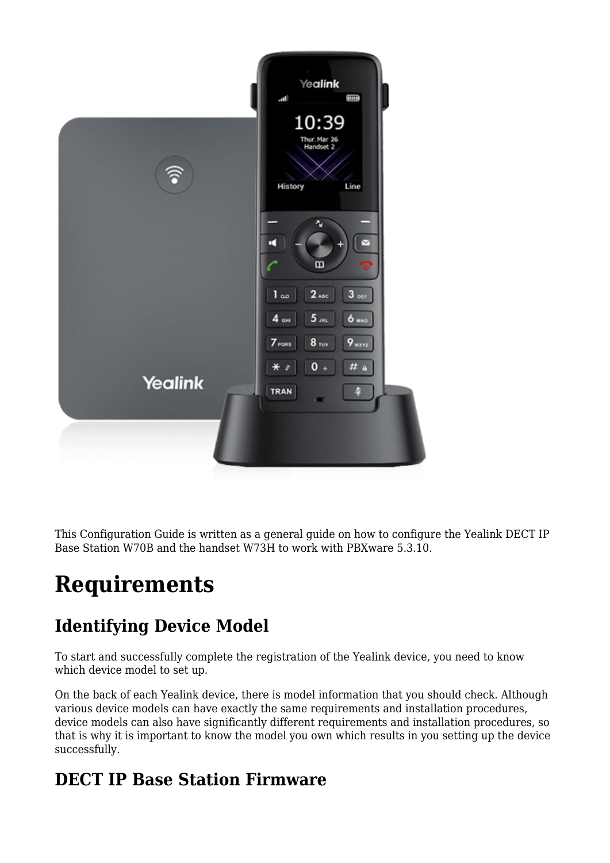

This Configuration Guide is written as a general guide on how to configure the Yealink DECT IP Base Station W70B and the handset W73H to work with PBXware 5.3.10.

# **Requirements**

# **Identifying Device Model**

To start and successfully complete the registration of the Yealink device, you need to know which device model to set up.

On the back of each Yealink device, there is model information that you should check. Although various device models can have exactly the same requirements and installation procedures, device models can also have significantly different requirements and installation procedures, so that is why it is important to know the model you own which results in you setting up the device successfully.

# **DECT IP Base Station Firmware**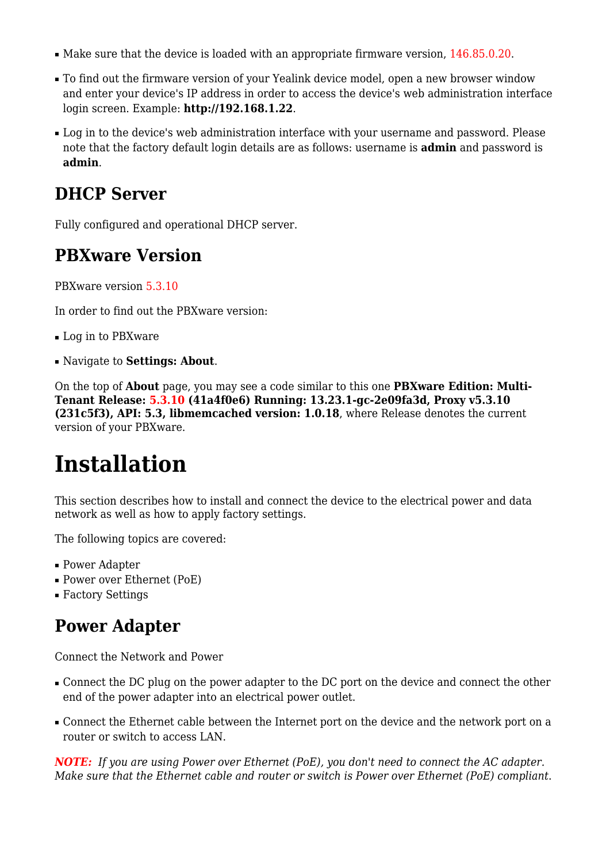- Make sure that the device is loaded with an appropriate firmware version, 146.85.0.20.
- To find out the firmware version of your Yealink device model, open a new browser window and enter your device's IP address in order to access the device's web administration interface login screen. Example: **<http://192.168.1.22>**.
- Log in to the device's web administration interface with your username and password. Please note that the factory default login details are as follows: username is **admin** and password is **admin**.

## **DHCP Server**

Fully configured and operational DHCP server.

### **PBXware Version**

PBXware version 5.3.10

In order to find out the PBXware version:

- Log in to PBXware
- Navigate to **Settings: About**.

On the top of **About** page, you may see a code similar to this one **PBXware Edition: Multi-Tenant Release: 5.3.10 (41a4f0e6) Running: 13.23.1-gc-2e09fa3d, Proxy v5.3.10 (231c5f3), API: 5.3, libmemcached version: 1.0.18**, where Release denotes the current version of your PBXware.

# **Installation**

This section describes how to install and connect the device to the electrical power and data network as well as how to apply factory settings.

The following topics are covered:

- Power Adapter
- Power over Ethernet (PoE)
- Factory Settings

## **Power Adapter**

Connect the Network and Power

- Connect the DC plug on the power adapter to the DC port on the device and connect the other end of the power adapter into an electrical power outlet.
- Connect the Ethernet cable between the Internet port on the device and the network port on a router or switch to access LAN.

*NOTE: If you are using Power over Ethernet (PoE), you don't need to connect the AC adapter. Make sure that the Ethernet cable and router or switch is Power over Ethernet (PoE) compliant*.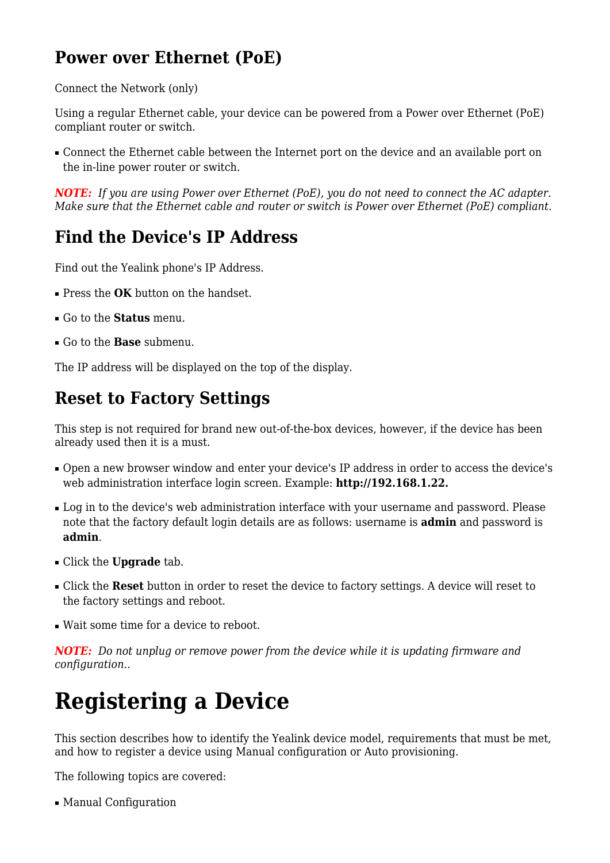# **Power over Ethernet (PoE)**

Connect the Network (only)

Using a regular Ethernet cable, your device can be powered from a Power over Ethernet (PoE) compliant router or switch.

■ Connect the Ethernet cable between the Internet port on the device and an available port on the in-line power router or switch.

*NOTE: If you are using Power over Ethernet (PoE), you do not need to connect the AC adapter. Make sure that the Ethernet cable and router or switch is Power over Ethernet (PoE) compliant*.

## **Find the Device's IP Address**

Find out the Yealink phone's IP Address.

- Press the **OK** button on the handset.
- Go to the **Status** menu.
- Go to the **Base** submenu.

The IP address will be displayed on the top of the display.

## **Reset to Factory Settings**

This step is not required for brand new out-of-the-box devices, however, if the device has been already used then it is a must.

- Open a new browser window and enter your device's IP address in order to access the device's web administration interface login screen. Example: **<http://192.168.1.22>.**
- Log in to the device's web administration interface with your username and password. Please note that the factory default login details are as follows: username is **admin** and password is **admin**.
- Click the **Upgrade** tab.
- Click the **Reset** button in order to reset the device to factory settings. A device will reset to the factory settings and reboot.
- Wait some time for a device to reboot.

*NOTE: Do not unplug or remove power from the device while it is updating firmware and configuration.*.

# **Registering a Device**

This section describes how to identify the Yealink device model, requirements that must be met, and how to register a device using Manual configuration or Auto provisioning.

The following topics are covered:

■ Manual Configuration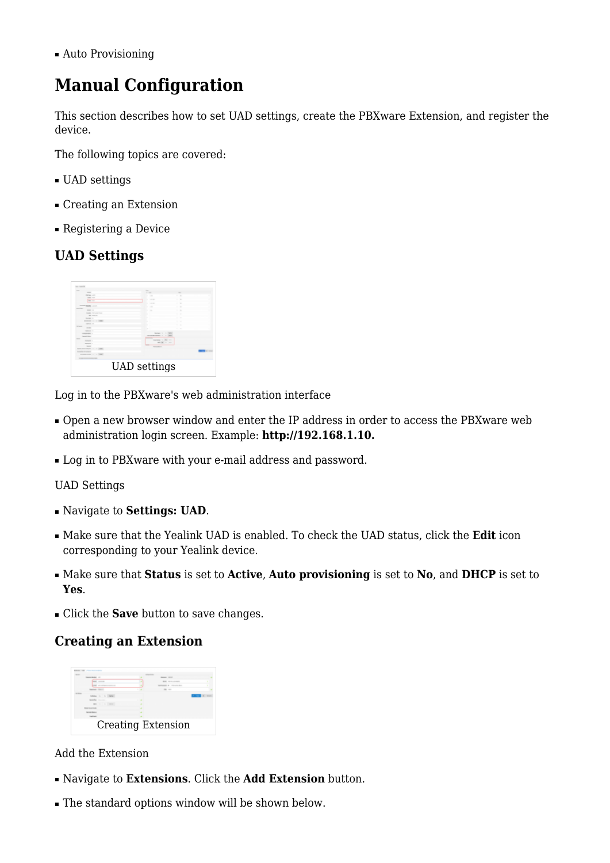■ Auto Provisioning

# **Manual Configuration**

This section describes how to set UAD settings, create the PBXware Extension, and register the device.

The following topics are covered:

- UAD settings
- Creating an Extension
- Registering a Device

### **UAD Settings**



Log in to the PBXware's web administration interface

- Open a new browser window and enter the IP address in order to access the PBXware web administration login screen. Example: **<http://192.168.1.10>.**
- Log in to PBXware with your e-mail address and password.

#### UAD Settings

- Navigate to **Settings: UAD**.
- Make sure that the Yealink UAD is enabled. To check the UAD status, click the **Edit** icon corresponding to your Yealink device.
- Make sure that **Status** is set to **Active**, **Auto provisioning** is set to **No**, and **DHCP** is set to **Yes**.
- Click the **Save** button to save changes.

### **Creating an Extension**



Add the Extension

- Navigate to **Extensions**. Click the **Add Extension** button.
- The standard options window will be shown below.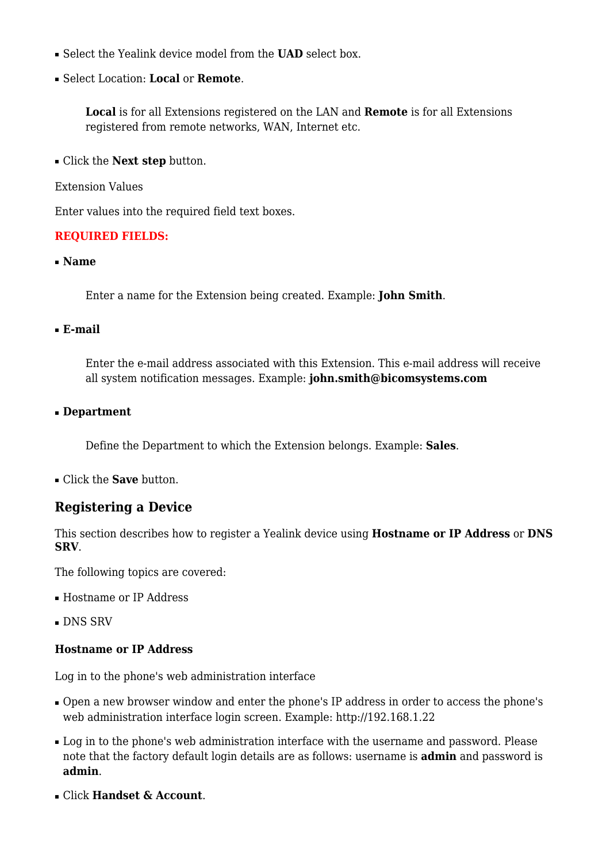- Select the Yealink device model from the **UAD** select box.
- Select Location: **Local** or **Remote**.

**Local** is for all Extensions registered on the LAN and **Remote** is for all Extensions registered from remote networks, WAN, Internet etc.

- Click the **Next step** button.
- Extension Values

Enter values into the required field text boxes.

#### **REQUIRED FIELDS:**

■ **Name**

Enter a name for the Extension being created. Example: **John Smith**.

#### ■ **E-mail**

Enter the e-mail address associated with this Extension. This e-mail address will receive all system notification messages. Example: **john.smith@bicomsystems.com**

#### ■ **Department**

Define the Department to which the Extension belongs. Example: **Sales**.

■ Click the **Save** button.

### **Registering a Device**

This section describes how to register a Yealink device using **Hostname or IP Address** or **DNS SRV**.

The following topics are covered:

- Hostname or IP Address
- DNS SRV

#### **Hostname or IP Address**

Log in to the phone's web administration interface

- Open a new browser window and enter the phone's IP address in order to access the phone's web administration interface login screen. Example:<http://192.168.1.22>
- Log in to the phone's web administration interface with the username and password. Please note that the factory default login details are as follows: username is **admin** and password is **admin**.
- Click **Handset & Account**.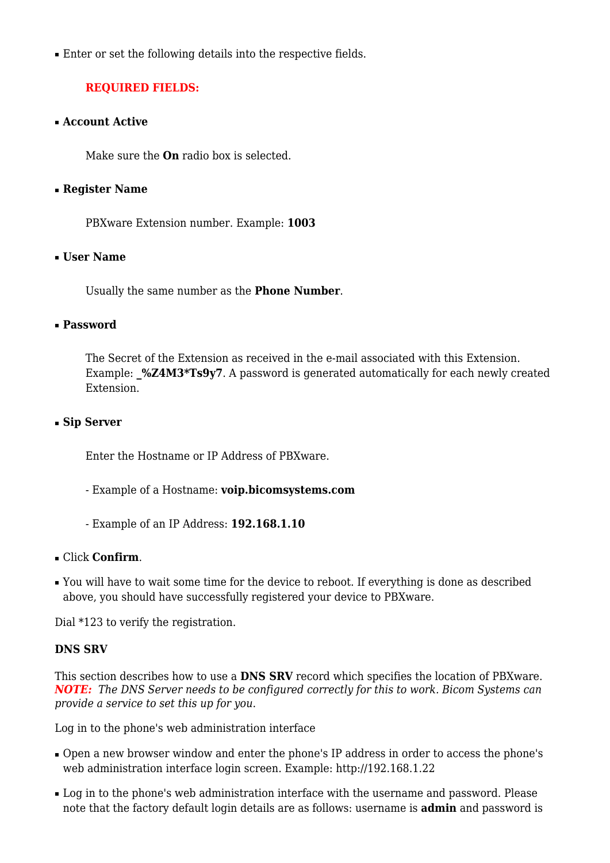■ Enter or set the following details into the respective fields.

### **REQUIRED FIELDS:**

■ **Account Active**

Make sure the **On** radio box is selected.

#### ■ **Register Name**

PBXware Extension number. Example: **1003**

#### ■ **User Name**

Usually the same number as the **Phone Number**.

#### ■ **Password**

The Secret of the Extension as received in the e-mail associated with this Extension. Example: %Z4M3\*Ts9y7. A password is generated automatically for each newly created Extension.

#### ■ **Sip Server**

Enter the Hostname or IP Address of PBXware.

- Example of a Hostname: **voip.bicomsystems.com**
- Example of an IP Address: **192.168.1.10**
- Click **Confirm**.
- You will have to wait some time for the device to reboot. If everything is done as described above, you should have successfully registered your device to PBXware.

Dial \*123 to verify the registration.

#### **DNS SRV**

This section describes how to use a **DNS SRV** record which specifies the location of PBXware. *NOTE: The DNS Server needs to be configured correctly for this to work. Bicom Systems can provide a service to set this up for you*.

Log in to the phone's web administration interface

- Open a new browser window and enter the phone's IP address in order to access the phone's web administration interface login screen. Example:<http://192.168.1.22>
- Log in to the phone's web administration interface with the username and password. Please note that the factory default login details are as follows: username is **admin** and password is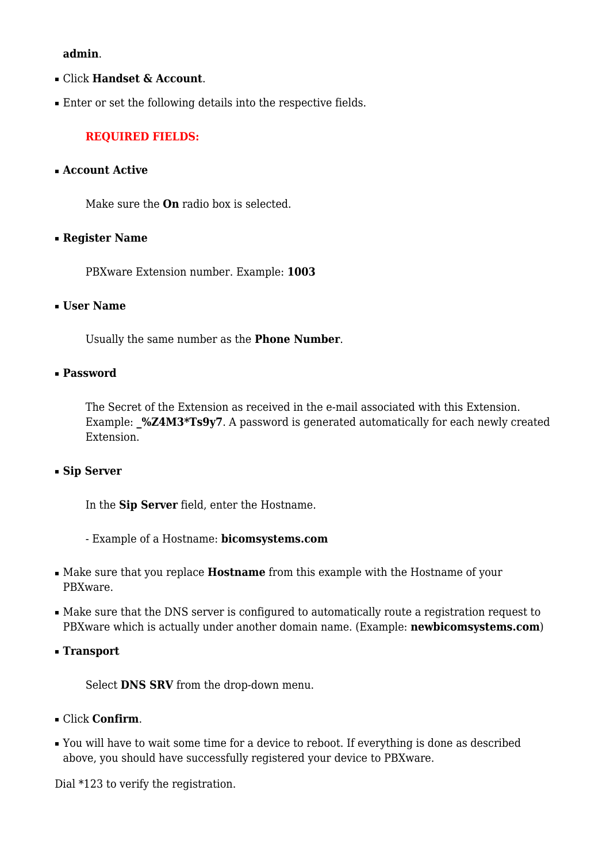#### **admin**.

- Click **Handset & Account**.
- Enter or set the following details into the respective fields.

#### **REQUIRED FIELDS:**

#### ■ **Account Active**

Make sure the **On** radio box is selected.

#### ■ **Register Name**

PBXware Extension number. Example: **1003**

#### ■ **User Name**

Usually the same number as the **Phone Number**.

#### ■ **Password**

The Secret of the Extension as received in the e-mail associated with this Extension. Example: %Z4M3\*Ts9y7. A password is generated automatically for each newly created Extension.

#### ■ **Sip Server**

In the **Sip Server** field, enter the Hostname.

- Example of a Hostname: **bicomsystems.com**
- Make sure that you replace **Hostname** from this example with the Hostname of your PBXware.
- Make sure that the DNS server is configured to automatically route a registration request to PBXware which is actually under another domain name. (Example: **newbicomsystems.com**)
- **Transport**

Select **DNS SRV** from the drop-down menu.

- Click **Confirm**.
- You will have to wait some time for a device to reboot. If everything is done as described above, you should have successfully registered your device to PBXware.

Dial \*123 to verify the registration.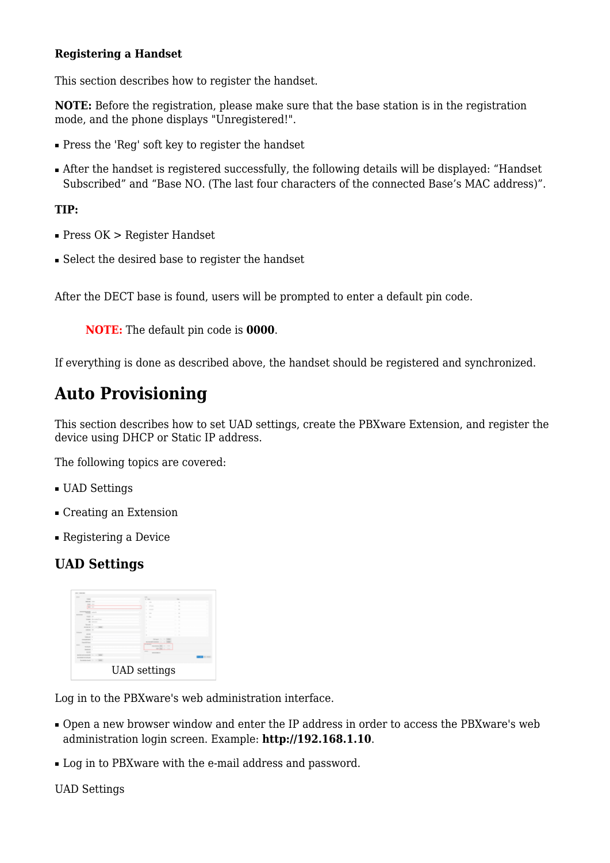#### **Registering a Handset**

This section describes how to register the handset.

**NOTE:** Before the registration, please make sure that the base station is in the registration mode, and the phone displays "Unregistered!".

- Press the 'Reg' soft key to register the handset
- After the handset is registered successfully, the following details will be displayed: "Handset Subscribed" and "Base NO. (The last four characters of the connected Base's MAC address)".

### **TIP:**

- Press OK > Register Handset
- Select the desired base to register the handset

After the DECT base is found, users will be prompted to enter a default pin code.

**NOTE:** The default pin code is **0000**.

If everything is done as described above, the handset should be registered and synchronized.

# **Auto Provisioning**

This section describes how to set UAD settings, create the PBXware Extension, and register the device using DHCP or Static IP address.

The following topics are covered:

- UAD Settings
- Creating an Extension
- Registering a Device

### **UAD Settings**



Log in to the PBXware's web administration interface.

- Open a new browser window and enter the IP address in order to access the PBXware's web administration login screen. Example: **<http://192.168.1.10>**.
- Log in to PBXware with the e-mail address and password.

UAD Settings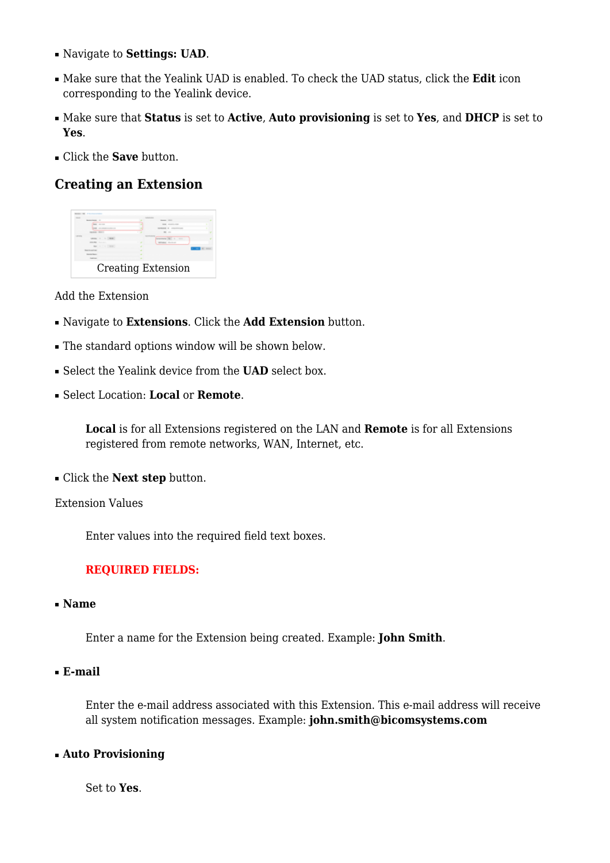- Navigate to **Settings: UAD**.
- Make sure that the Yealink UAD is enabled. To check the UAD status, click the **Edit** icon corresponding to the Yealink device.
- Make sure that **Status** is set to **Active**, **Auto provisioning** is set to **Yes**, and **DHCP** is set to **Yes**.
- Click the **Save** button.

### **Creating an Extension**



#### Add the Extension

- Navigate to **Extensions**. Click the **Add Extension** button.
- The standard options window will be shown below.
- Select the Yealink device from the **UAD** select box.
- Select Location: **Local** or **Remote**.

**Local** is for all Extensions registered on the LAN and **Remote** is for all Extensions registered from remote networks, WAN, Internet, etc.

■ Click the **Next step** button.

Extension Values

Enter values into the required field text boxes.

### **REQUIRED FIELDS:**

■ **Name**

Enter a name for the Extension being created. Example: **John Smith**.

■ **E-mail**

Enter the e-mail address associated with this Extension. This e-mail address will receive all system notification messages. Example: **john.smith@bicomsystems.com**

#### ■ **Auto Provisioning**

Set to **Yes**.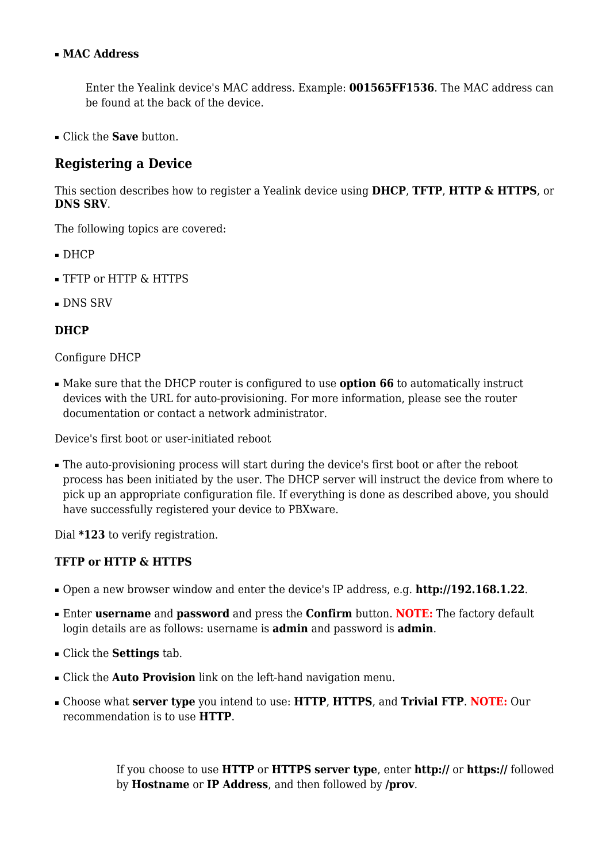#### ■ **MAC Address**

Enter the Yealink device's MAC address. Example: **001565FF1536**. The MAC address can be found at the back of the device.

■ Click the **Save** button.

### **Registering a Device**

This section describes how to register a Yealink device using **DHCP**, **TFTP**, **HTTP & HTTPS**, or **DNS SRV**.

The following topics are covered:

- DHCP
- TFTP or HTTP & HTTPS
- DNS SRV

#### **DHCP**

#### Configure DHCP

■ Make sure that the DHCP router is configured to use **option 66** to automatically instruct devices with the URL for auto-provisioning. For more information, please see the router documentation or contact a network administrator.

Device's first boot or user-initiated reboot

• The auto-provisioning process will start during the device's first boot or after the reboot process has been initiated by the user. The DHCP server will instruct the device from where to pick up an appropriate configuration file. If everything is done as described above, you should have successfully registered your device to PBXware.

Dial **\*123** to verify registration.

#### **TFTP or HTTP & HTTPS**

- Open a new browser window and enter the device's IP address, e.g. **<http://192.168.1.22>**.
- Enter **username** and **password** and press the **Confirm** button. **NOTE:** The factory default login details are as follows: username is **admin** and password is **admin**.
- Click the **Settings** tab.
- Click the **Auto Provision** link on the left-hand navigation menu.
- Choose what **server type** you intend to use: **HTTP**, **HTTPS**, and **Trivial FTP**. **NOTE:** Our recommendation is to use **HTTP**.

If you choose to use **HTTP** or **HTTPS server type**, enter **http://** or **https://** followed by **Hostname** or **IP Address**, and then followed by **/prov**.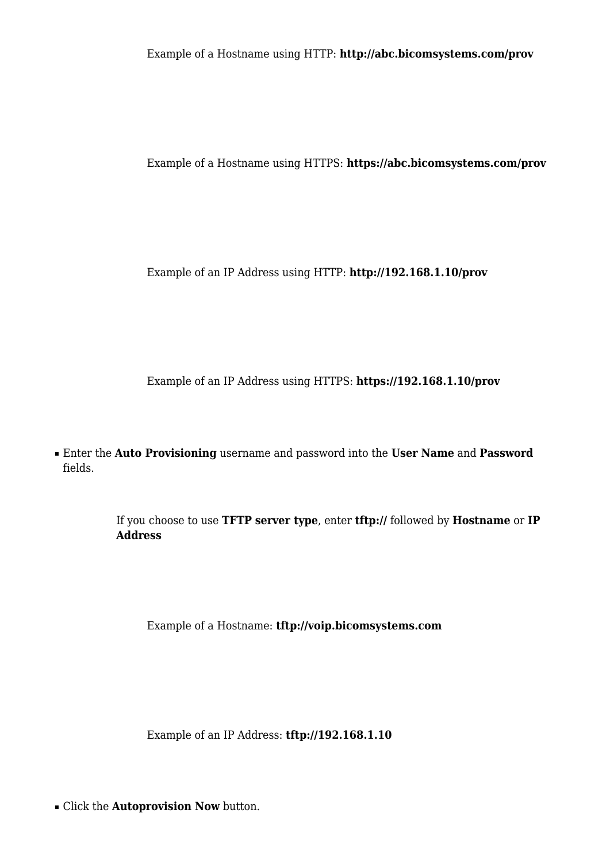Example of a Hostname using HTTP: **<http://abc.bicomsystems.com/prov>**

Example of a Hostname using HTTPS: **<https://abc.bicomsystems.com/prov>**

Example of an IP Address using HTTP: **<http://192.168.1.10/prov>**

Example of an IP Address using HTTPS: **<https://192.168.1.10/prov>**

■ Enter the **Auto Provisioning** username and password into the **User Name** and **Password** fields.

> If you choose to use **TFTP server type**, enter **tftp://** followed by **Hostname** or **IP Address**

Example of a Hostname: **tftp://voip.bicomsystems.com**

Example of an IP Address: **tftp://192.168.1.10**

■ Click the **Autoprovision Now** button.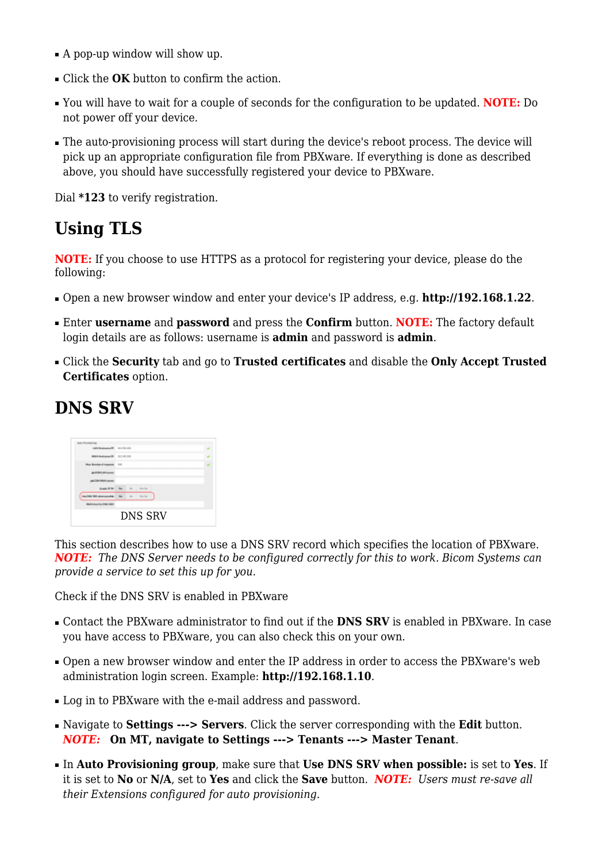- A pop-up window will show up.
- Click the **OK** button to confirm the action.
- You will have to wait for a couple of seconds for the configuration to be updated. **NOTE:** Do not power off your device.
- The auto-provisioning process will start during the device's reboot process. The device will pick up an appropriate configuration file from PBXware. If everything is done as described above, you should have successfully registered your device to PBXware.

Dial **\*123** to verify registration.

# **Using TLS**

**NOTE:** If you choose to use HTTPS as a protocol for registering your device, please do the following:

- Open a new browser window and enter your device's IP address, e.g. **<http://192.168.1.22>**.
- Enter **username** and **password** and press the **Confirm** button. **NOTE:** The factory default login details are as follows: username is **admin** and password is **admin**.
- Click the **Security** tab and go to **Trusted certificates** and disable the **Only Accept Trusted Certificates** option.

## **DNS SRV**

| Well's dealers of this Silve          |     |  |                  |  |  |  |  |
|---------------------------------------|-----|--|------------------|--|--|--|--|
| <b>Use Critic EBIT afternoonalide</b> | Ho. |  | No. Nos Ras      |  |  |  |  |
| County Willer, Mar. 491               |     |  | <b>Root Root</b> |  |  |  |  |
| ploCOM Wallri annos                   |     |  |                  |  |  |  |  |
| <b>GITTING AT LOWERS</b>              |     |  |                  |  |  |  |  |
| Max Number of torqueste (10)          |     |  |                  |  |  |  |  |
| WATERWOOD W. 20131100                 |     |  |                  |  |  |  |  |
| LAPERAMMANA/IP: 011-9110              |     |  |                  |  |  |  |  |

This section describes how to use a DNS SRV record which specifies the location of PBXware. *NOTE: The DNS Server needs to be configured correctly for this to work. Bicom Systems can provide a service to set this up for you*.

Check if the DNS SRV is enabled in PBXware

- Contact the PBXware administrator to find out if the **DNS SRV** is enabled in PBXware. In case you have access to PBXware, you can also check this on your own.
- Open a new browser window and enter the IP address in order to access the PBXware's web administration login screen. Example: **<http://192.168.1.10>**.
- Log in to PBXware with the e-mail address and password.
- Navigate to **Settings ---> Servers**. Click the server corresponding with the **Edit** button. *NOTE:* **On MT, navigate to Settings ---> Tenants ---> Master Tenant**.
- In **Auto Provisioning group**, make sure that **Use DNS SRV when possible:** is set to **Yes**. If it is set to **No** or **N/A**, set to **Yes** and click the **Save** button. *NOTE: Users must re-save all their Extensions configured for auto provisioning*.